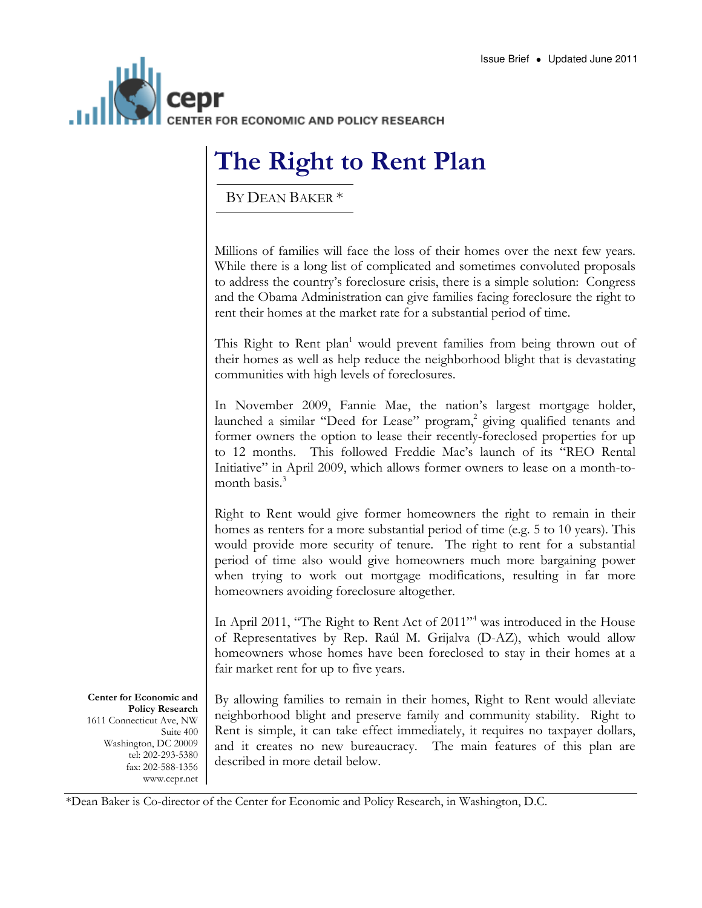

## The Right to Rent Plan

BY DEAN BAKER \*

Millions of families will face the loss of their homes over the next few years. While there is a long list of complicated and sometimes convoluted proposals to address the country's foreclosure crisis, there is a simple solution: Congress and the Obama Administration can give families facing foreclosure the right to rent their homes at the market rate for a substantial period of time.

This Right to Rent plan<sup>1</sup> would prevent families from being thrown out of their homes as well as help reduce the neighborhood blight that is devastating communities with high levels of foreclosures.

In November 2009, Fannie Mae, the nation's largest mortgage holder, launched a similar "Deed for Lease" program,<sup>2</sup> giving qualified tenants and former owners the option to lease their recently-foreclosed properties for up to 12 months. This followed Freddie Mac's launch of its "REO Rental Initiative" in April 2009, which allows former owners to lease on a month-tomonth basis $<sup>3</sup>$ </sup>

Right to Rent would give former homeowners the right to remain in their homes as renters for a more substantial period of time (e.g. 5 to 10 years). This would provide more security of tenure. The right to rent for a substantial period of time also would give homeowners much more bargaining power when trying to work out mortgage modifications, resulting in far more homeowners avoiding foreclosure altogether.

In April 2011, "The Right to Rent Act of 2011"<sup>4</sup> was introduced in the House of Representatives by Rep. Raúl M. Grijalva (D-AZ), which would allow homeowners whose homes have been foreclosed to stay in their homes at a fair market rent for up to five years.

Center for Economic and Policy Research 1611 Connecticut Ave, NW Suite 400 Washington, DC 20009 tel: 202-293-5380 fax: 202-588-1356 www.cepr.net By allowing families to remain in their homes, Right to Rent would alleviate neighborhood blight and preserve family and community stability. Right to Rent is simple, it can take effect immediately, it requires no taxpayer dollars, and it creates no new bureaucracy. The main features of this plan are described in more detail below.

\*Dean Baker is Co-director of the Center for Economic and Policy Research, in Washington, D.C.